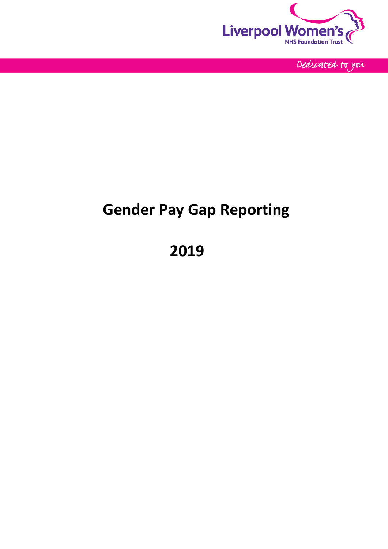

Dedicated to you

# **Gender Pay Gap Reporting**

**2019**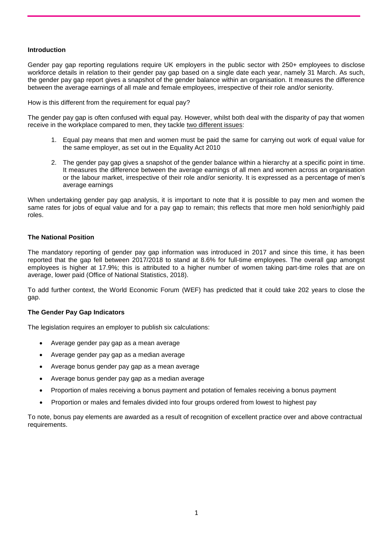### **Introduction**

[Gender pay gap reporting regulations](https://www.gov.uk/government/news/gender-pay-gap-reporting) require UK employers in the public sector with 250+ employees to disclose workforce details in relation to their gender pay gap based on a single date each year, namely 31 March. As such, the gender pay gap report gives a snapshot of the gender balance within an organisation. It measures the difference between the average earnings of all male and female employees, irrespective of their role and/or seniority.

How is this different from the requirement for equal pay?

The gender pay gap is often confused with equal pay. However, whilst both deal with the disparity of pay that women receive in the workplace compared to men, they tackle two different issues:

- 1. Equal pay means that men and women must be paid the same for carrying out work of equal value for the same employer, as set out in the Equality Act 2010
- 2. The gender pay gap gives a snapshot of the gender balance within a hierarchy at a specific point in time. It measures the difference between the average earnings of all men and women across an organisation or the labour market, irrespective of their role and/or seniority. It is expressed as a percentage of men's average earnings

When undertaking gender pay gap analysis, it is important to note that it is possible to pay men and women the same rates for jobs of equal value and for a pay gap to remain; this reflects that more men hold senior/highly paid roles.

### **The National Position**

The mandatory reporting of gender pay gap information was introduced in 2017 and since this time, it has been reported that the gap fell between 2017/2018 to stand at 8.6% for full-time employees. The overall gap amongst employees is higher at 17.9%; this is attributed to a higher number of women taking part-time roles that are on average, lower paid (Office of National Statistics, 2018).

To add further context, the World Economic Forum (WEF) has predicted that it could take 202 years to close the gap.

#### **The Gender Pay Gap Indicators**

The legislation requires an employer to publish six calculations:

- Average gender pay gap as a mean average
- Average gender pay gap as a median average
- Average bonus gender pay gap as a mean average
- Average bonus gender pay gap as a median average
- Proportion of males receiving a bonus payment and potation of females receiving a bonus payment
- Proportion or males and females divided into four groups ordered from lowest to highest pay

To note, bonus pay elements are awarded as a result of recognition of excellent practice over and above contractual requirements.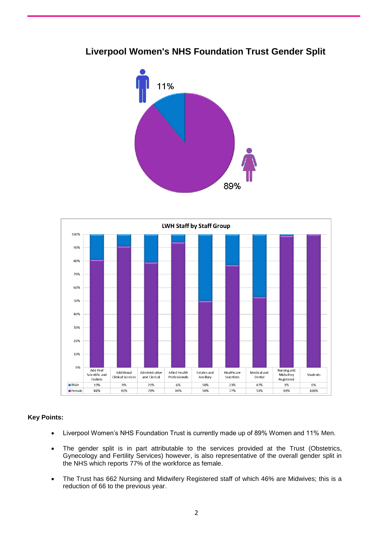## **Liverpool Women's NHS Foundation Trust Gender Split**





### **Key Points:**

- Liverpool Women's NHS Foundation Trust is currently made up of 89% Women and 11% Men.
- The gender split is in part attributable to the services provided at the Trust (Obstetrics, Gynecology and Fertility Services) however, is also representative of the overall gender split in the NHS which reports 77% of the workforce as female.
- The Trust has 662 Nursing and Midwifery Registered staff of which 46% are Midwives; this is a reduction of 66 to the previous year.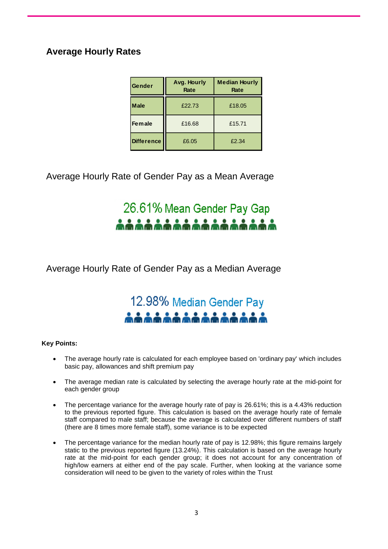## **Average Hourly Rates**

| Gender            | Avg. Hourly<br>Rate | <b>Median Hourly</b><br>Rate |  |
|-------------------|---------------------|------------------------------|--|
| <b>Male</b>       | £22.73              | £18.05                       |  |
| <b>Female</b>     | £16.68              | £15.71                       |  |
| <b>Difference</b> | £6.05               | £2.34                        |  |

Average Hourly Rate of Gender Pay as a Mean Average

26.61% Mean Gender Pay Gap

Average Hourly Rate of Gender Pay as a Median Average

## 12.98% Median Gender Pay <u> 11111111111111</u>

### **Key Points:**

- The average hourly rate is calculated for each employee based on 'ordinary pay' which includes basic pay, allowances and shift premium pay
- The average median rate is calculated by selecting the average hourly rate at the mid-point for each gender group
- The percentage variance for the average hourly rate of pay is 26.61%; this is a 4.43% reduction to the previous reported figure. This calculation is based on the average hourly rate of female staff compared to male staff; because the average is calculated over different numbers of staff (there are 8 times more female staff), some variance is to be expected
- The percentage variance for the median hourly rate of pay is 12.98%; this figure remains largely static to the previous reported figure (13.24%). This calculation is based on the average hourly rate at the mid-point for each gender group; it does not account for any concentration of high/low earners at either end of the pay scale. Further, when looking at the variance some consideration will need to be given to the variety of roles within the Trust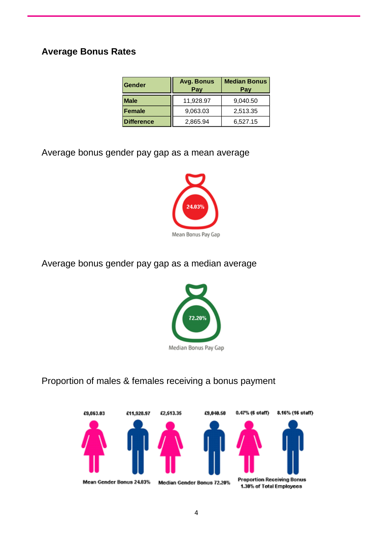## **Average Bonus Rates**

| Gender            | <b>Median Bonus</b><br>Avg. Bonus<br>Pay<br>Pay |          |
|-------------------|-------------------------------------------------|----------|
| <b>Male</b>       | 11,928.97                                       | 9,040.50 |
| <b>Female</b>     | 9,063.03                                        | 2,513.35 |
| <b>Difference</b> | 2,865.94                                        | 6,527.15 |

Average bonus gender pay gap as a mean average



Average bonus gender pay gap as a median average



Proportion of males & females receiving a bonus payment

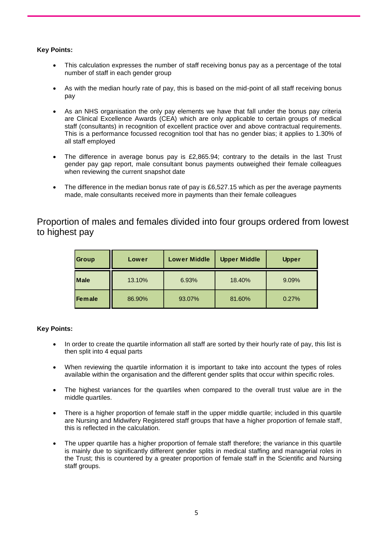### **Key Points:**

- This calculation expresses the number of staff receiving bonus pay as a percentage of the total number of staff in each gender group
- As with the median hourly rate of pay, this is based on the mid-point of all staff receiving bonus pay
- As an NHS organisation the only pay elements we have that fall under the bonus pay criteria are Clinical Excellence Awards (CEA) which are only applicable to certain groups of medical staff (consultants) in recognition of excellent practice over and above contractual requirements. This is a performance focussed recognition tool that has no gender bias; it applies to 1.30% of all staff employed
- The difference in average bonus pay is £2,865.94; contrary to the details in the last Trust gender pay gap report, male consultant bonus payments outweighed their female colleagues when reviewing the current snapshot date
- The difference in the median bonus rate of pay is £6,527.15 which as per the average payments made, male consultants received more in payments than their female colleagues

### Proportion of males and females divided into four groups ordered from lowest to highest pay

| <b>Group</b>  | Lower  | <b>Lower Middle</b> | <b>Upper Middle</b> | <b>Upper</b> |
|---------------|--------|---------------------|---------------------|--------------|
| <b>Male</b>   | 13.10% | 6.93%               | 18.40%              | 9.09%        |
| <b>Female</b> | 86.90% | 93.07%              | 81.60%              | 0.27%        |

### **Key Points:**

- In order to create the quartile information all staff are sorted by their hourly rate of pay, this list is then split into 4 equal parts
- When reviewing the quartile information it is important to take into account the types of roles available within the organisation and the different gender splits that occur within specific roles.
- The highest variances for the quartiles when compared to the overall trust value are in the middle quartiles.
- There is a higher proportion of female staff in the upper middle quartile; included in this quartile are Nursing and Midwifery Registered staff groups that have a higher proportion of female staff, this is reflected in the calculation.
- The upper quartile has a higher proportion of female staff therefore; the variance in this quartile is mainly due to significantly different gender splits in medical staffing and managerial roles in the Trust; this is countered by a greater proportion of female staff in the Scientific and Nursing staff groups.